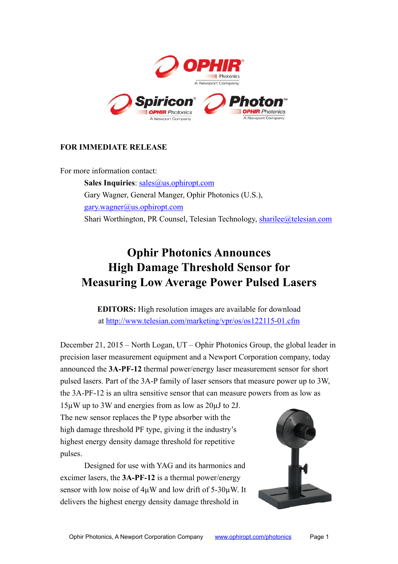

## **FOR IMMEDIATE RELEASE**

For more information contact:

**Sales Inquiries**: [sales@us.ophiropt.com](mailto:sales@us.ophiropt.com) Gary Wagner, General Manger, Ophir Photonics (U.S.), [gary.wagner@us.ophiropt.com](mailto:gary.wagner@us.ophiropt.com) Shari Worthington, PR Counsel, Telesian Technology, [sharilee@telesian.com](mailto:sharilee@telesian.com)

# **Ophir Photonics Announces High Damage Threshold Sensor for Measuring Low Average Power Pulsed Lasers**

**EDITORS:** High resolution images are available for download at<http://www.telesian.com/marketing/vpr/os/os122115-01.cfm>

December 21, 2015 – North Logan, UT – Ophir Photonics Group, the global leader in precision laser measurement equipment and a Newport Corporation company, today announced the **3A-PF-12** thermal power/energy laser measurement sensor for short pulsed lasers. Part of the 3A-P family of laser sensors that measure power up to 3W, the 3A-PF-12 is an ultra sensitive sensor that can measure powers from as low as

15µW up to 3W and energies from as low as 20µJ to 2J. The new sensor replaces the P type absorber with the high damage threshold PF type, giving it the industry's highest energy density damage threshold for repetitive pulses.

Designed for use with YAG and its harmonics and excimer lasers, the **3A-PF-12** is a thermal power/energy sensor with low noise of 4µW and low drift of 5-30µW. It delivers the highest energy density damage threshold in